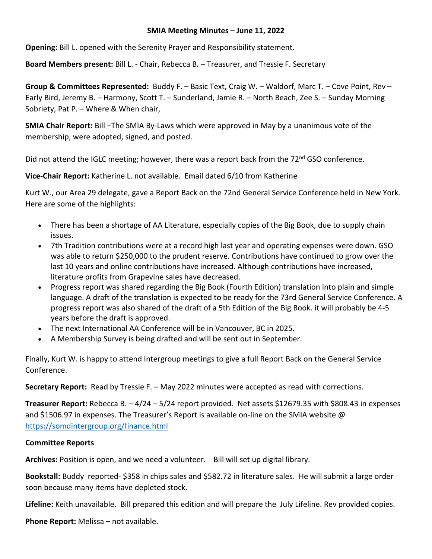## **SMIA Meeting Minutes – June 11, 2022**

**Opening:** Bill L. opened with the Serenity Prayer and Responsibility statement.

**Board Members present:** Bill L. - Chair, Rebecca B. – Treasurer, and Tressie F. Secretary

**Group & Committees Represented:** Buddy F. – Basic Text, Craig W. – Waldorf, Marc T. – Cove Point, Rev – Early Bird, Jeremy B. – Harmony, Scott T. – Sunderland, Jamie R. – North Beach, Zee S. – Sunday Morning Sobriety, Pat P. – Where & When chair,

**SMIA Chair Report:** Bill –The SMIA By-Laws which were approved in May by a unanimous vote of the membership, were adopted, signed, and posted.

Did not attend the IGLC meeting; however, there was a report back from the 72<sup>nd</sup> GSO conference.

**Vice-Chair Report:** Katherine L. not available. Email dated 6/10 from Katherine

Kurt W., our Area 29 delegate, gave a Report Back on the 72nd General Service Conference held in New York. Here are some of the highlights:

- There has been a shortage of AA Literature, especially copies of the Big Book, due to supply chain issues.
- 7th Tradition contributions were at a record high last year and operating expenses were down. GSO was able to return \$250,000 to the prudent reserve. Contributions have continued to grow over the last 10 years and online contributions have increased. Although contributions have increased, literature profits from Grapevine sales have decreased.
- Progress report was shared regarding the Big Book (Fourth Edition) translation into plain and simple language. A draft of the translation is expected to be ready for the 73rd General Service Conference. A progress report was also shared of the draft of a 5th Edition of the Big Book. it will probably be 4-5 years before the draft is approved.
- The next International AA Conference will be in Vancouver, BC in 2025.
- A Membership Survey is being drafted and will be sent out in September.

Finally, Kurt W. is happy to attend Intergroup meetings to give a full Report Back on the General Service Conference.

**Secretary Report:** Read by Tressie F. – May 2022 minutes were accepted as read with corrections.

**Treasurer Report:** Rebecca B. – 4/24 – 5/24 report provided. Net assets \$12679.35 with \$808.43 in expenses and \$1506.97 in expenses. The Treasurer's Report is available on-line on the SMIA website @ <https://somdintergroup.org/finance.html>

# **Committee Reports**

**Archives:** Position is open, and we need a volunteer. Bill will set up digital library.

**Bookstall:** Buddy reported- \$358 in chips sales and \$582.72 in literature sales. He will submit a large order soon because many items have depleted stock.

**Lifeline:** Keith unavailable. Bill prepared this edition and will prepare the July Lifeline. Rev provided copies.

**Phone Report:** Melissa – not available.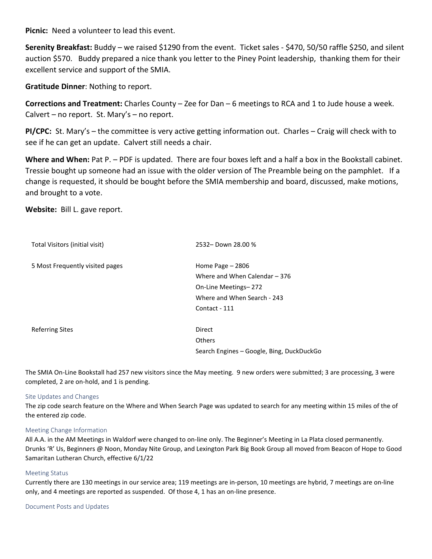**Picnic:** Need a volunteer to lead this event.

**Serenity Breakfast:** Buddy – we raised \$1290 from the event. Ticket sales - \$470, 50/50 raffle \$250, and silent auction \$570. Buddy prepared a nice thank you letter to the Piney Point leadership, thanking them for their excellent service and support of the SMIA.

**Gratitude Dinner**: Nothing to report.

**Corrections and Treatment:** Charles County – Zee for Dan – 6 meetings to RCA and 1 to Jude house a week. Calvert – no report. St. Mary's – no report.

**PI/CPC:** St. Mary's – the committee is very active getting information out. Charles – Craig will check with to see if he can get an update. Calvert still needs a chair.

Where and When: Pat P. – PDF is updated. There are four boxes left and a half a box in the Bookstall cabinet. Tressie bought up someone had an issue with the older version of The Preamble being on the pamphlet. If a change is requested, it should be bought before the SMIA membership and board, discussed, make motions, and brought to a vote.

**Website:** Bill L. gave report.

| Total Visitors (initial visit)  | 2532-Down 28.00 %                         |
|---------------------------------|-------------------------------------------|
| 5 Most Frequently visited pages | Home Page $-2806$                         |
|                                 | Where and When Calendar - 376             |
|                                 | On-Line Meetings-272                      |
|                                 | Where and When Search - 243               |
|                                 | Contact - 111                             |
| <b>Referring Sites</b>          | Direct                                    |
|                                 | <b>Others</b>                             |
|                                 | Search Engines - Google, Bing, DuckDuckGo |

The SMIA On-Line Bookstall had 257 new visitors since the May meeting. 9 new orders were submitted; 3 are processing, 3 were completed, 2 are on-hold, and 1 is pending.

## Site Updates and Changes

The zip code search feature on the Where and When Search Page was updated to search for any meeting within 15 miles of the of the entered zip code.

## Meeting Change Information

All A.A. in the AM Meetings in Waldorf were changed to on-line only. The Beginner's Meeting in La Plata closed permanently. Drunks 'R' Us, Beginners @ Noon, Monday Nite Group, and Lexington Park Big Book Group all moved from Beacon of Hope to Good Samaritan Lutheran Church, effective 6/1/22

#### Meeting Status

Currently there are 130 meetings in our service area; 119 meetings are in-person, 10 meetings are hybrid, 7 meetings are on-line only, and 4 meetings are reported as suspended. Of those 4, 1 has an on-line presence.

#### Document Posts and Updates